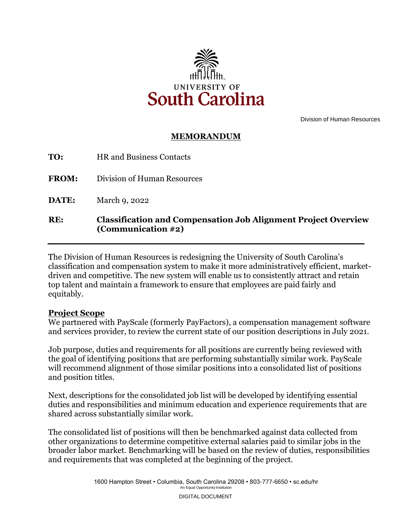

Division of Human Resources

## **MEMORANDUM**

| RE:          | <b>Classification and Compensation Job Alignment Project Overview</b><br>(Communication #2) |
|--------------|---------------------------------------------------------------------------------------------|
| DATE:        | March 9, 2022                                                                               |
| <b>FROM:</b> | Division of Human Resources                                                                 |
| TO:          | <b>HR</b> and Business Contacts                                                             |

 top talent and maintain a framework to ensure that employees are paid fairly and The Division of Human Resources is redesigning the University of South Carolina's classification and compensation system to make it more administratively efficient, marketdriven and competitive. The new system will enable us to consistently attract and retain equitably.

## **Project Scope**

We partnered with PayScale (formerly PayFactors), a compensation management software and services provider, to review the current state of our position descriptions in July 2021.

Job purpose, duties and requirements for all positions are currently being reviewed with the goal of identifying positions that are performing substantially similar work. PayScale will recommend alignment of those similar positions into a consolidated list of positions and position titles.

Next, descriptions for the consolidated job list will be developed by identifying essential duties and responsibilities and minimum education and experience requirements that are shared across substantially similar work.

The consolidated list of positions will then be benchmarked against data collected from other organizations to determine competitive external salaries paid to similar jobs in the broader labor market. Benchmarking will be based on the review of duties, responsibilities and requirements that was completed at the beginning of the project.